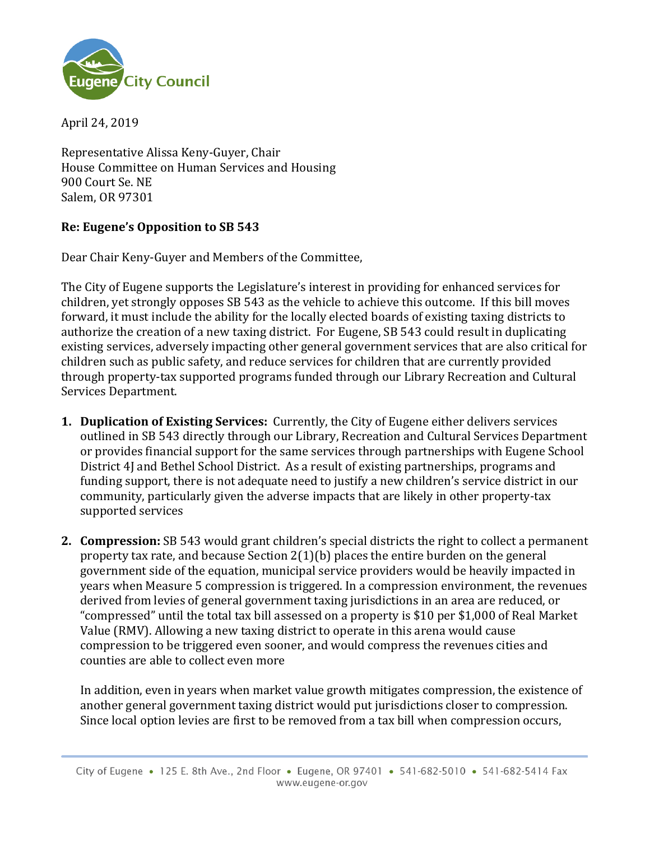

April 24, 2019

Representative Alissa Keny-Guyer, Chair House Committee on Human Services and Housing 900 Court Se. NE Salem, OR 97301

## **Re: Eugene's Opposition to SB 543**

Dear Chair Keny-Guyer and Members of the Committee,

The City of Eugene supports the Legislature's interest in providing for enhanced services for children, yet strongly opposes SB 543 as the vehicle to achieve this outcome. If this bill moves forward, it must include the ability for the locally elected boards of existing taxing districts to authorize the creation of a new taxing district. For Eugene, SB 543 could result in duplicating existing services, adversely impacting other general government services that are also critical for children such as public safety, and reduce services for children that are currently provided through property-tax supported programs funded through our Library Recreation and Cultural Services Department.

- **1. Duplication of Existing Services:** Currently, the City of Eugene either delivers services outlined in SB 543 directly through our Library, Recreation and Cultural Services Department or provides financial support for the same services through partnerships with Eugene School District 4J and Bethel School District. As a result of existing partnerships, programs and funding support, there is not adequate need to justify a new children's service district in our community, particularly given the adverse impacts that are likely in other property-tax supported services
- **2. Compression:** SB 543 would grant children's special districts the right to collect a permanent property tax rate, and because Section 2(1)(b) places the entire burden on the general government side of the equation, municipal service providers would be heavily impacted in years when Measure 5 compression is triggered. In a compression environment, the revenues derived from levies of general government taxing jurisdictions in an area are reduced, or "compressed" until the total tax bill assessed on a property is \$10 per \$1,000 of Real Market Value (RMV). Allowing a new taxing district to operate in this arena would cause compression to be triggered even sooner, and would compress the revenues cities and counties are able to collect even more

In addition, even in years when market value growth mitigates compression, the existence of another general government taxing district would put jurisdictions closer to compression. Since local option levies are first to be removed from a tax bill when compression occurs,